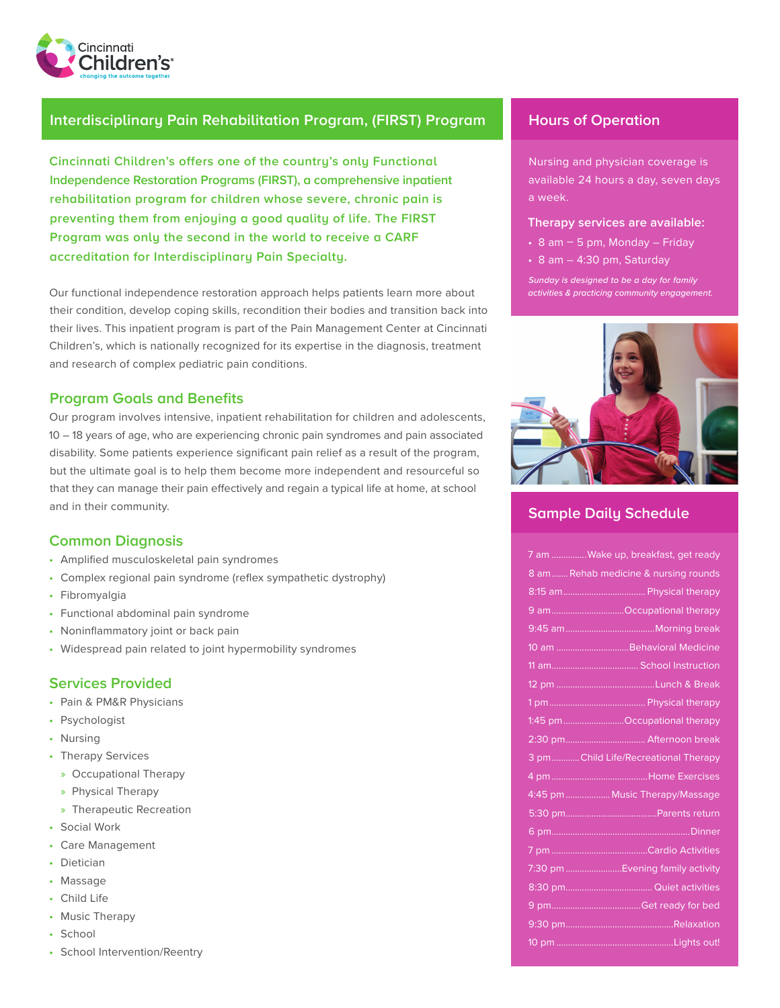

#### **Interdisciplinary Pain Rehabilitation Program, (FIRST) Program | Hours of Operation**

**Cincinnati Children's offers one of the country's only Functional Independence Restoration Programs (FIRST), a comprehensive inpatient rehabilitation program for children whose severe, chronic pain is preventing them from enjoying a good quality of life. The FIRST Program was only the second in the world to receive a CARF accreditation for Interdisciplinary Pain Specialty.** 

Our functional independence restoration approach helps patients learn more about their condition, develop coping skills, recondition their bodies and transition back into their lives. This inpatient program is part of the Pain Management Center at Cincinnati Children's, which is nationally recognized for its expertise in the diagnosis, treatment and research of complex pediatric pain conditions.

#### **Program Goals and Benefits**

Our program involves intensive, inpatient rehabilitation for children and adolescents, 10 – 18 years of age, who are experiencing chronic pain syndromes and pain associated disability. Some patients experience significant pain relief as a result of the program, but the ultimate goal is to help them become more independent and resourceful so that they can manage their pain effectively and regain a typical life at home, at school and in their community.

#### **Common Diagnosis**

- Amplified musculoskeletal pain syndromes
- Complex regional pain syndrome (reflex sympathetic dystrophy)
- Fibromyalgia
- Functional abdominal pain syndrome
- Noninflammatory joint or back pain
- Widespread pain related to joint hypermobility syndromes

#### **Services Provided**

- Pain & PM&R Physicians
- Psychologist
- Nursing
- Therapy Services
	- » Occupational Therapy
- » Physical Therapy
- » Therapeutic Recreation
- Social Work
- Care Management
- Dietician
- Massage
- Child Life
- Music Therapy
- School
- School Intervention/Reentry

Nursing and physician coverage is available 24 hours a day, seven days a week.

#### **Therapy services are available:**

- $\cdot$  8 am  $-$  5 pm, Monday Friday
- 8 am 4:30 pm, Saturday

*Sunday is designed to be a day for family activities & practicing community engagement.*



### **Sample Daily Schedule**

|  | 7 am Wake up, breakfast, get ready   |
|--|--------------------------------------|
|  | 8 am Rehab medicine & nursing rounds |
|  |                                      |
|  | 9 amOccupational therapy             |
|  |                                      |
|  | 10 am Behavioral Medicine            |
|  |                                      |
|  |                                      |
|  |                                      |
|  | 1:45 pmOccupational therapy          |
|  |                                      |
|  | 3 pmChild Life/Recreational Therapy  |
|  |                                      |
|  | 4:45 pm  Music Therapy/Massage       |
|  |                                      |
|  |                                      |
|  |                                      |
|  |                                      |
|  | 7:30 pm Evening family activity      |
|  |                                      |
|  |                                      |
|  |                                      |
|  |                                      |